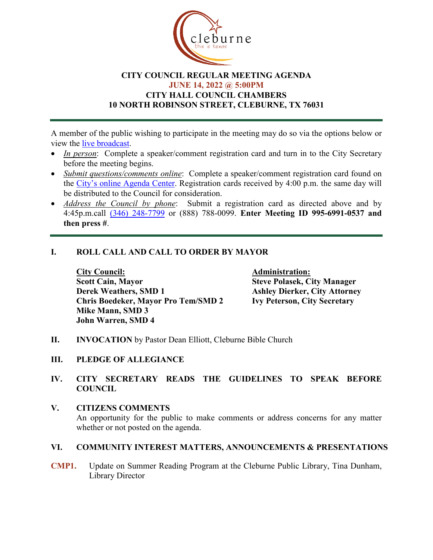

### **CITY COUNCIL REGULAR MEETING AGENDA JUNE 14, 2022 @ 5:00PM CITY HALL COUNCIL CHAMBERS 10 NORTH ROBINSON STREET, CLEBURNE, TX 76031**

A member of the public wishing to participate in the meeting may do so via the options below or view the [live broadcast.](http://www.cleburne.net/925/Cleburne-Live)

- *In person:* Complete a speaker/comment registration card and turn in to the City Secretary before the meeting begins.
- *Submit questions/comments online*: Complete a speaker/comment registration card found on the [City's online Agenda Center.](https://www.cleburne.net/agendacenter) Registration cards received by 4:00 p.m. the same day will be distributed to the Council for consideration.
- *Address the Council by phone*: Submit a registration card as directed above and by 4:45p.m.call [\(346\) 248-7799](tel:+13127573117,,477307821) or (888) 788-0099. **Enter Meeting ID 995-6991-0537 and then press #**.

## **I. ROLL CALL AND CALL TO ORDER BY MAYOR**

**City Council: Administration: Scott Cain, Mayor Steve Polasek, City Manager Derek Weathers, SMD 1 Ashley Dierker, City Attorney**<br> **Chris Boedeker, Mayor Pro Tem/SMD 2 Ivy Peterson, City Secretary Chris Boedeker, Mayor Pro Tem/SMD 2 Mike Mann, SMD 3 John Warren, SMD 4**

- **II. INVOCATION** by Pastor Dean Elliott, Cleburne Bible Church
- **III. PLEDGE OF ALLEGIANCE**

### **IV. CITY SECRETARY READS THE GUIDELINES TO SPEAK BEFORE COUNCIL**

### **V. CITIZENS COMMENTS**

An opportunity for the public to make comments or address concerns for any matter whether or not posted on the agenda.

#### **VI. COMMUNITY INTEREST MATTERS, ANNOUNCEMENTS & PRESENTATIONS**

**CMP1.** Update on Summer Reading Program at the Cleburne Public Library, Tina Dunham, Library Director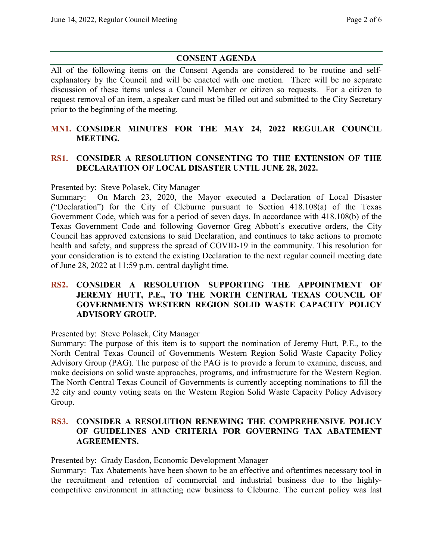# **CONSENT AGENDA**

All of the following items on the Consent Agenda are considered to be routine and selfexplanatory by the Council and will be enacted with one motion. There will be no separate discussion of these items unless a Council Member or citizen so requests. For a citizen to request removal of an item, a speaker card must be filled out and submitted to the City Secretary prior to the beginning of the meeting.

## **MN1. CONSIDER MINUTES FOR THE MAY 24, 2022 REGULAR COUNCIL MEETING.**

## **RS1. CONSIDER A RESOLUTION CONSENTING TO THE EXTENSION OF THE DECLARATION OF LOCAL DISASTER UNTIL JUNE 28, 2022.**

Presented by: Steve Polasek, City Manager

Summary: On March 23, 2020, the Mayor executed a Declaration of Local Disaster ("Declaration") for the City of Cleburne pursuant to Section 418.108(a) of the Texas Government Code, which was for a period of seven days. In accordance with 418.108(b) of the Texas Government Code and following Governor Greg Abbott's executive orders, the City Council has approved extensions to said Declaration, and continues to take actions to promote health and safety, and suppress the spread of COVID-19 in the community. This resolution for your consideration is to extend the existing Declaration to the next regular council meeting date of June 28, 2022 at 11:59 p.m. central daylight time.

## **RS2. CONSIDER A RESOLUTION SUPPORTING THE APPOINTMENT OF JEREMY HUTT, P.E., TO THE NORTH CENTRAL TEXAS COUNCIL OF GOVERNMENTS WESTERN REGION SOLID WASTE CAPACITY POLICY ADVISORY GROUP.**

Presented by: Steve Polasek, City Manager

Summary: The purpose of this item is to support the nomination of Jeremy Hutt, P.E., to the North Central Texas Council of Governments Western Region Solid Waste Capacity Policy Advisory Group (PAG). The purpose of the PAG is to provide a forum to examine, discuss, and make decisions on solid waste approaches, programs, and infrastructure for the Western Region. The North Central Texas Council of Governments is currently accepting nominations to fill the 32 city and county voting seats on the Western Region Solid Waste Capacity Policy Advisory Group.

### **RS3. CONSIDER A RESOLUTION RENEWING THE COMPREHENSIVE POLICY OF GUIDELINES AND CRITERIA FOR GOVERNING TAX ABATEMENT AGREEMENTS.**

Presented by: Grady Easdon, Economic Development Manager

Summary: Tax Abatements have been shown to be an effective and oftentimes necessary tool in the recruitment and retention of commercial and industrial business due to the highlycompetitive environment in attracting new business to Cleburne. The current policy was last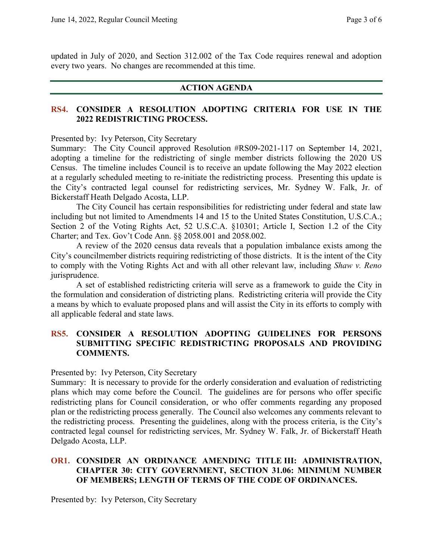updated in July of 2020, and Section 312.002 of the Tax Code requires renewal and adoption every two years. No changes are recommended at this time.

#### **ACTION AGENDA**

### **RS4. CONSIDER A RESOLUTION ADOPTING CRITERIA FOR USE IN THE 2022 REDISTRICTING PROCESS.**

Presented by: Ivy Peterson, City Secretary

Summary: The City Council approved Resolution #RS09-2021-117 on September 14, 2021, adopting a timeline for the redistricting of single member districts following the 2020 US Census. The timeline includes Council is to receive an update following the May 2022 election at a regularly scheduled meeting to re-initiate the redistricting process. Presenting this update is the City's contracted legal counsel for redistricting services, Mr. Sydney W. Falk, Jr. of Bickerstaff Heath Delgado Acosta, LLP.

The City Council has certain responsibilities for redistricting under federal and state law including but not limited to Amendments 14 and 15 to the United States Constitution, U.S.C.A.; Section 2 of the Voting Rights Act, 52 U.S.C.A. §10301; Article I, Section 1.2 of the City Charter; and Tex. Gov't Code Ann. §§ 2058.001 and 2058.002.

A review of the 2020 census data reveals that a population imbalance exists among the City's councilmember districts requiring redistricting of those districts. It is the intent of the City to comply with the Voting Rights Act and with all other relevant law, including *Shaw v. Reno*  jurisprudence.

A set of established redistricting criteria will serve as a framework to guide the City in the formulation and consideration of districting plans. Redistricting criteria will provide the City a means by which to evaluate proposed plans and will assist the City in its efforts to comply with all applicable federal and state laws.

### **RS5. CONSIDER A RESOLUTION ADOPTING GUIDELINES FOR PERSONS SUBMITTING SPECIFIC REDISTRICTING PROPOSALS AND PROVIDING COMMENTS.**

#### Presented by: Ivy Peterson, City Secretary

Summary: It is necessary to provide for the orderly consideration and evaluation of redistricting plans which may come before the Council. The guidelines are for persons who offer specific redistricting plans for Council consideration, or who offer comments regarding any proposed plan or the redistricting process generally. The Council also welcomes any comments relevant to the redistricting process. Presenting the guidelines, along with the process criteria, is the City's contracted legal counsel for redistricting services, Mr. Sydney W. Falk, Jr. of Bickerstaff Heath Delgado Acosta, LLP.

## **OR1. CONSIDER AN ORDINANCE AMENDING TITLE III: ADMINISTRATION, CHAPTER 30: CITY GOVERNMENT, SECTION 31.06: MINIMUM NUMBER OF MEMBERS; LENGTH OF TERMS OF THE CODE OF ORDINANCES.**

Presented by: Ivy Peterson, City Secretary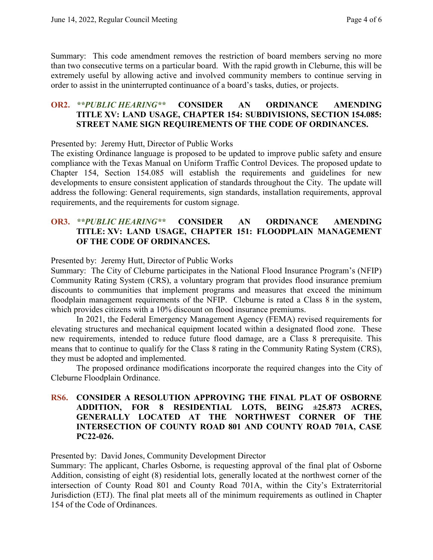Summary: This code amendment removes the restriction of board members serving no more than two consecutive terms on a particular board. With the rapid growth in Cleburne, this will be extremely useful by allowing active and involved community members to continue serving in order to assist in the uninterrupted continuance of a board's tasks, duties, or projects.

### **OR2.** *\*\*PUBLIC HEARING\*\** **CONSIDER AN ORDINANCE AMENDING TITLE XV: LAND USAGE, CHAPTER 154: SUBDIVISIONS, SECTION 154.085: STREET NAME SIGN REQUIREMENTS OF THE CODE OF ORDINANCES.**

Presented by: Jeremy Hutt, Director of Public Works

The existing Ordinance language is proposed to be updated to improve public safety and ensure compliance with the Texas Manual on Uniform Traffic Control Devices. The proposed update to Chapter 154, Section 154.085 will establish the requirements and guidelines for new developments to ensure consistent application of standards throughout the City. The update will address the following: General requirements, sign standards, installation requirements, approval requirements, and the requirements for custom signage.

### **OR3.** *\*\*PUBLIC HEARING\*\** **CONSIDER AN ORDINANCE AMENDING TITLE: XV: LAND USAGE, CHAPTER 151: FLOODPLAIN MANAGEMENT OF THE CODE OF ORDINANCES.**

Presented by: Jeremy Hutt, Director of Public Works

Summary: The City of Cleburne participates in the National Flood Insurance Program's (NFIP) Community Rating System (CRS), a voluntary program that provides flood insurance premium discounts to communities that implement programs and measures that exceed the minimum floodplain management requirements of the NFIP. Cleburne is rated a Class 8 in the system, which provides citizens with a 10% discount on flood insurance premiums.

In 2021, the Federal Emergency Management Agency (FEMA) revised requirements for elevating structures and mechanical equipment located within a designated flood zone. These new requirements, intended to reduce future flood damage, are a Class 8 prerequisite. This means that to continue to qualify for the Class 8 rating in the Community Rating System (CRS), they must be adopted and implemented.

The proposed ordinance modifications incorporate the required changes into the City of Cleburne Floodplain Ordinance.

### **RS6. CONSIDER A RESOLUTION APPROVING THE FINAL PLAT OF OSBORNE ADDITION, FOR 8 RESIDENTIAL LOTS, BEING ±25.873 ACRES, GENERALLY LOCATED AT THE NORTHWEST CORNER OF THE INTERSECTION OF COUNTY ROAD 801 AND COUNTY ROAD 701A, CASE PC22-026.**

Presented by: David Jones, Community Development Director

Summary: The applicant, Charles Osborne, is requesting approval of the final plat of Osborne Addition, consisting of eight (8) residential lots, generally located at the northwest corner of the intersection of County Road 801 and County Road 701A, within the City's Extraterritorial Jurisdiction (ETJ). The final plat meets all of the minimum requirements as outlined in Chapter 154 of the Code of Ordinances.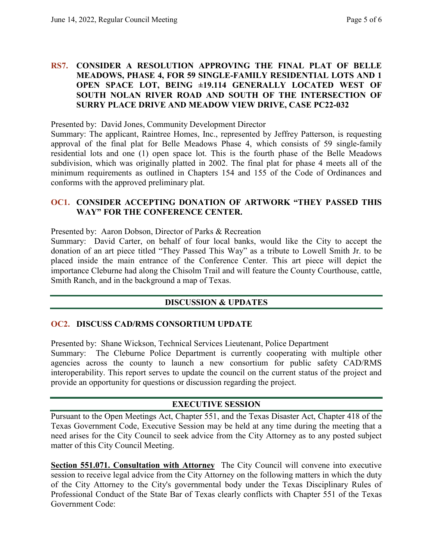### **RS7. CONSIDER A RESOLUTION APPROVING THE FINAL PLAT OF BELLE MEADOWS, PHASE 4, FOR 59 SINGLE-FAMILY RESIDENTIAL LOTS AND 1 OPEN SPACE LOT, BEING ±19.114 GENERALLY LOCATED WEST OF SOUTH NOLAN RIVER ROAD AND SOUTH OF THE INTERSECTION OF SURRY PLACE DRIVE AND MEADOW VIEW DRIVE, CASE PC22-032**

Presented by: David Jones, Community Development Director

Summary: The applicant, Raintree Homes, Inc., represented by Jeffrey Patterson, is requesting approval of the final plat for Belle Meadows Phase 4, which consists of 59 single-family residential lots and one (1) open space lot. This is the fourth phase of the Belle Meadows subdivision, which was originally platted in 2002. The final plat for phase 4 meets all of the minimum requirements as outlined in Chapters 154 and 155 of the Code of Ordinances and conforms with the approved preliminary plat.

## **OC1. CONSIDER ACCEPTING DONATION OF ARTWORK "THEY PASSED THIS WAY" FOR THE CONFERENCE CENTER.**

Presented by: Aaron Dobson, Director of Parks & Recreation

Summary: David Carter, on behalf of four local banks, would like the City to accept the donation of an art piece titled "They Passed This Way" as a tribute to Lowell Smith Jr. to be placed inside the main entrance of the Conference Center. This art piece will depict the importance Cleburne had along the Chisolm Trail and will feature the County Courthouse, cattle, Smith Ranch, and in the background a map of Texas.

## **DISCUSSION & UPDATES**

## **OC2. DISCUSS CAD/RMS CONSORTIUM UPDATE**

Presented by: Shane Wickson, Technical Services Lieutenant, Police Department

Summary: The Cleburne Police Department is currently cooperating with multiple other agencies across the county to launch a new consortium for public safety CAD/RMS interoperability. This report serves to update the council on the current status of the project and provide an opportunity for questions or discussion regarding the project.

## **EXECUTIVE SESSION**

Pursuant to the Open Meetings Act, Chapter 551, and the Texas Disaster Act, Chapter 418 of the Texas Government Code, Executive Session may be held at any time during the meeting that a need arises for the City Council to seek advice from the City Attorney as to any posted subject matter of this City Council Meeting.

**Section 551.071. Consultation with Attorney** The City Council will convene into executive session to receive legal advice from the City Attorney on the following matters in which the duty of the City Attorney to the City's governmental body under the Texas Disciplinary Rules of Professional Conduct of the State Bar of Texas clearly conflicts with Chapter 551 of the Texas Government Code: